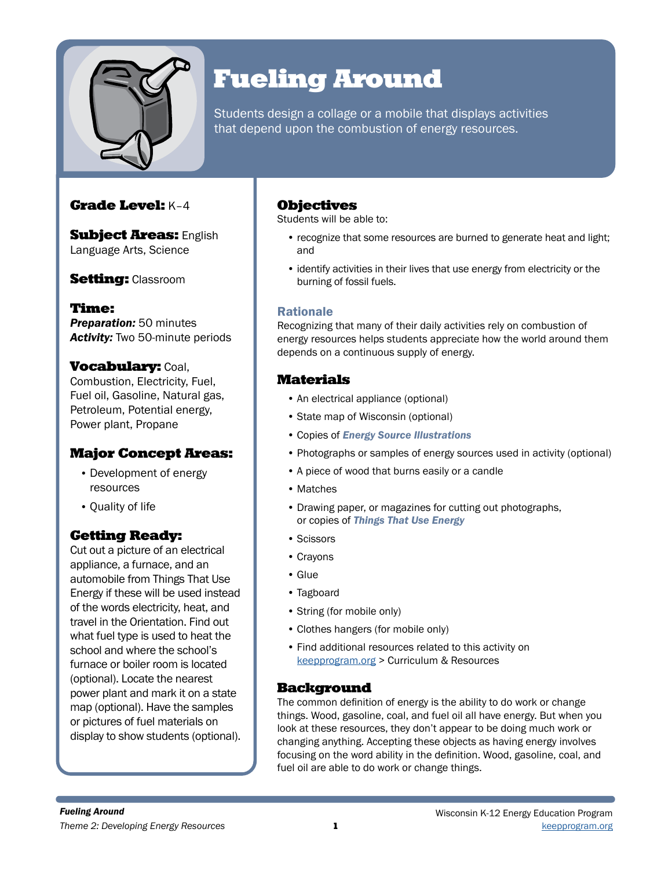

# Fueling Around

Students design a collage or a mobile that displays activities that depend upon the combustion of energy resources.

## Grade Level: K–4

**Subject Areas: English** Language Arts, Science

## **Setting: Classroom**

Time: *Preparation:* 50 minutes *Activity:* Two 50-minute periods

### **Vocabulary: Coal,**

Combustion, Electricity, Fuel, Fuel oil, Gasoline, Natural gas, Petroleum, Potential energy, Power plant, Propane

## Major Concept Areas:

- Development of energy resources
- Quality of life

## Getting Ready:

Cut out a picture of an electrical appliance, a furnace, and an automobile from Things That Use Energy if these will be used instead of the words electricity, heat, and travel in the Orientation. Find out what fuel type is used to heat the school and where the school's furnace or boiler room is located (optional). Locate the nearest power plant and mark it on a state map (optional). Have the samples or pictures of fuel materials on display to show students (optional).

## Objectives

Students will be able to:

- recognize that some resources are burned to generate heat and light; and
- identify activities in their lives that use energy from electricity or the burning of fossil fuels.

### **Rationale**

Recognizing that many of their daily activities rely on combustion of energy resources helps students appreciate how the world around them depends on a continuous supply of energy.

## **Materials**

- An electrical appliance (optional)
- State map of Wisconsin (optional)
- Copies of *Energy Source Illustrations*
- Photographs or samples of energy sources used in activity (optional)
- A piece of wood that burns easily or a candle
- Matches
- Drawing paper, or magazines for cutting out photographs, or copies of *Things That Use Energy*
- Scissors
- Crayons
- Glue
- Tagboard
- String (for mobile only)
- Clothes hangers (for mobile only)
- Find additional resources related to this activity on [keepprogram.org](http://keepprogram.org) > Curriculum & Resources

### Background

The common definition of energy is the ability to do work or change things. Wood, gasoline, coal, and fuel oil all have energy. But when you look at these resources, they don't appear to be doing much work or changing anything. Accepting these objects as having energy involves focusing on the word ability in the definition. Wood, gasoline, coal, and fuel oil are able to do work or change things.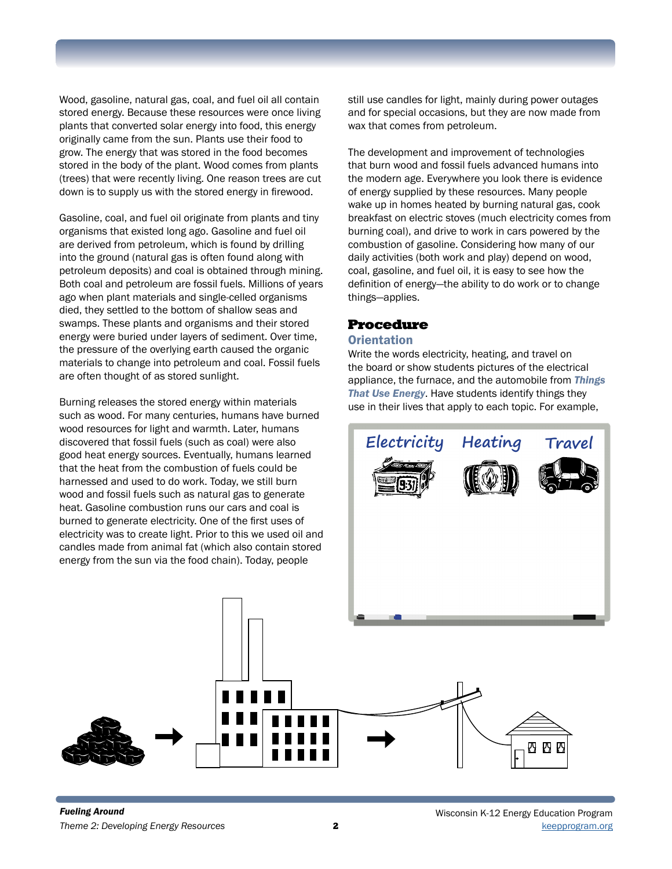Wood, gasoline, natural gas, coal, and fuel oil all contain stored energy. Because these resources were once living plants that converted solar energy into food, this energy originally came from the sun. Plants use their food to grow. The energy that was stored in the food becomes stored in the body of the plant. Wood comes from plants (trees) that were recently living. One reason trees are cut down is to supply us with the stored energy in firewood.

Gasoline, coal, and fuel oil originate from plants and tiny organisms that existed long ago. Gasoline and fuel oil are derived from petroleum, which is found by drilling into the ground (natural gas is often found along with petroleum deposits) and coal is obtained through mining. Both coal and petroleum are fossil fuels. Millions of years ago when plant materials and single-celled organisms died, they settled to the bottom of shallow seas and swamps. These plants and organisms and their stored energy were buried under layers of sediment. Over time, the pressure of the overlying earth caused the organic materials to change into petroleum and coal. Fossil fuels are often thought of as stored sunlight.

Burning releases the stored energy within materials such as wood. For many centuries, humans have burned wood resources for light and warmth. Later, humans discovered that fossil fuels (such as coal) were also good heat energy sources. Eventually, humans learned that the heat from the combustion of fuels could be harnessed and used to do work. Today, we still burn wood and fossil fuels such as natural gas to generate heat. Gasoline combustion runs our cars and coal is burned to generate electricity. One of the first uses of electricity was to create light. Prior to this we used oil and candles made from animal fat (which also contain stored energy from the sun via the food chain). Today, people

still use candles for light, mainly during power outages and for special occasions, but they are now made from wax that comes from petroleum.

The development and improvement of technologies that burn wood and fossil fuels advanced humans into the modern age. Everywhere you look there is evidence of energy supplied by these resources. Many people wake up in homes heated by burning natural gas, cook breakfast on electric stoves (much electricity comes from burning coal), and drive to work in cars powered by the combustion of gasoline. Considering how many of our daily activities (both work and play) depend on wood, coal, gasoline, and fuel oil, it is easy to see how the definition of energy—the ability to do work or to change things—applies.

### Procedure

#### **Orientation**

Write the words electricity, heating, and travel on the board or show students pictures of the electrical appliance, the furnace, and the automobile from *Things That Use Energy*. Have students identify things they use in their lives that apply to each topic. For example,

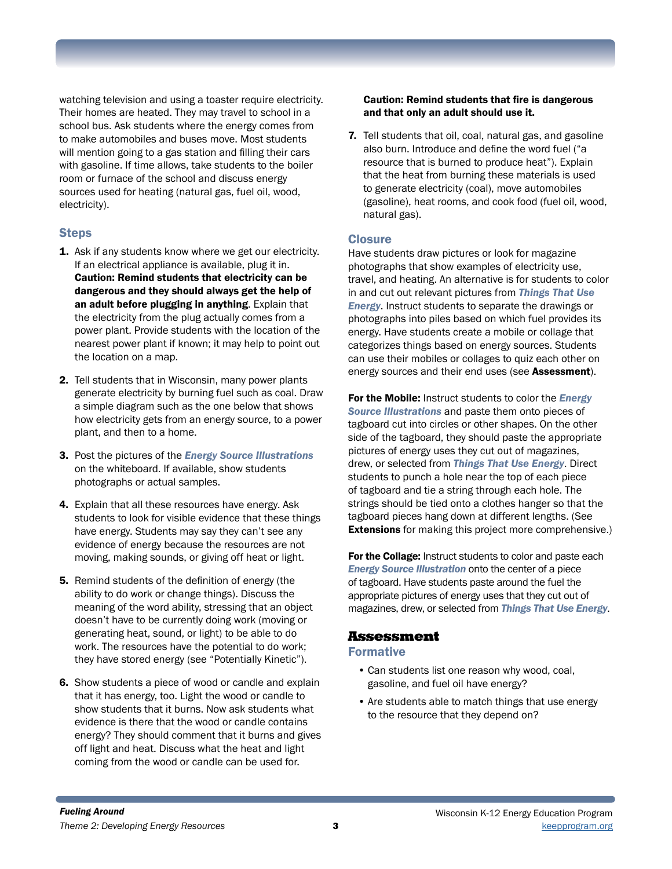watching television and using a toaster require electricity. Their homes are heated. They may travel to school in a school bus. Ask students where the energy comes from to make automobiles and buses move. Most students will mention going to a gas station and filling their cars with gasoline. If time allows, take students to the boiler room or furnace of the school and discuss energy sources used for heating (natural gas, fuel oil, wood, electricity).

#### Steps

- 1. Ask if any students know where we get our electricity. If an electrical appliance is available, plug it in. Caution: Remind students that electricity can be dangerous and they should always get the help of an adult before plugging in anything. Explain that the electricity from the plug actually comes from a power plant. Provide students with the location of the nearest power plant if known; it may help to point out the location on a map.
- 2. Tell students that in Wisconsin, many power plants generate electricity by burning fuel such as coal. Draw a simple diagram such as the one below that shows how electricity gets from an energy source, to a power plant, and then to a home.
- 3. Post the pictures of the *Energy Source Illustrations* on the whiteboard. If available, show students photographs or actual samples.
- 4. Explain that all these resources have energy. Ask students to look for visible evidence that these things have energy. Students may say they can't see any evidence of energy because the resources are not moving, making sounds, or giving off heat or light.
- 5. Remind students of the definition of energy (the ability to do work or change things). Discuss the meaning of the word ability, stressing that an object doesn't have to be currently doing work (moving or generating heat, sound, or light) to be able to do work. The resources have the potential to do work; they have stored energy (see "Potentially Kinetic").
- 6. Show students a piece of wood or candle and explain that it has energy, too. Light the wood or candle to show students that it burns. Now ask students what evidence is there that the wood or candle contains energy? They should comment that it burns and gives off light and heat. Discuss what the heat and light coming from the wood or candle can be used for.

#### Caution: Remind students that fire is dangerous and that only an adult should use it.

7. Tell students that oil, coal, natural gas, and gasoline also burn. Introduce and define the word fuel ("a resource that is burned to produce heat"). Explain that the heat from burning these materials is used to generate electricity (coal), move automobiles (gasoline), heat rooms, and cook food (fuel oil, wood, natural gas).

#### **Closure**

Have students draw pictures or look for magazine photographs that show examples of electricity use, travel, and heating. An alternative is for students to color in and cut out relevant pictures from *Things That Use Energy*. Instruct students to separate the drawings or photographs into piles based on which fuel provides its energy. Have students create a mobile or collage that categorizes things based on energy sources. Students can use their mobiles or collages to quiz each other on energy sources and their end uses (see **Assessment**).

For the Mobile: Instruct students to color the *Energy Source Illustrations* and paste them onto pieces of tagboard cut into circles or other shapes. On the other side of the tagboard, they should paste the appropriate pictures of energy uses they cut out of magazines, drew, or selected from *Things That Use Energy*. Direct students to punch a hole near the top of each piece of tagboard and tie a string through each hole. The strings should be tied onto a clothes hanger so that the tagboard pieces hang down at different lengths. (See **Extensions** for making this project more comprehensive.)

For the Collage: Instruct students to color and paste each *Energy Source Illustration* onto the center of a piece of tagboard. Have students paste around the fuel the appropriate pictures of energy uses that they cut out of magazines, drew, or selected from *Things That Use Energy*.

## Assessment

#### Formative

- Can students list one reason why wood, coal, gasoline, and fuel oil have energy?
- Are students able to match things that use energy to the resource that they depend on?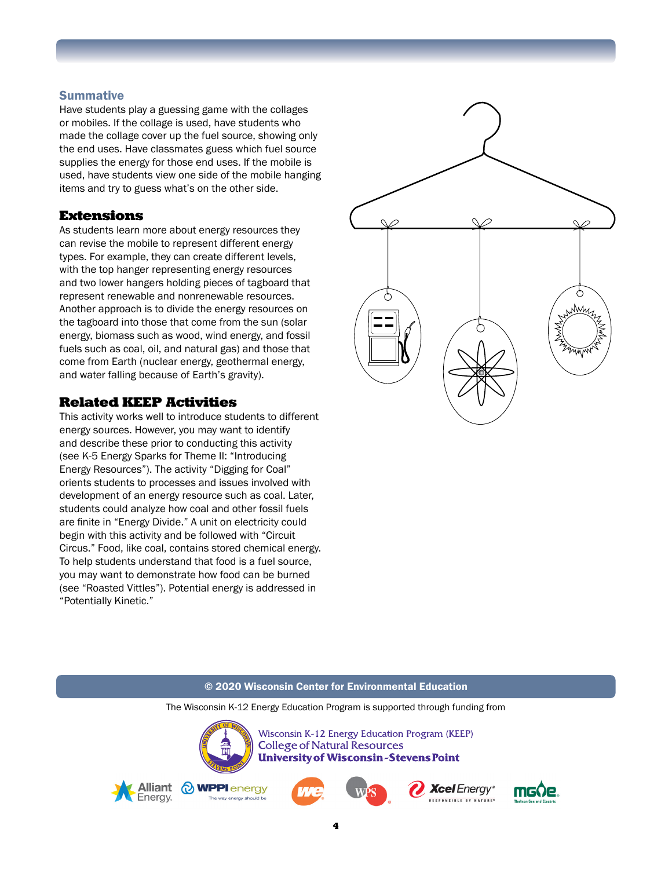#### **Summative**

Have students play a guessing game with the collages or mobiles. If the collage is used, have students who made the collage cover up the fuel source, showing only the end uses. Have classmates guess which fuel source supplies the energy for those end uses. If the mobile is used, have students view one side of the mobile hanging items and try to guess what's on the other side.

#### Extensions

As students learn more about energy resources they can revise the mobile to represent different energy types. For example, they can create different levels, with the top hanger representing energy resources and two lower hangers holding pieces of tagboard that represent renewable and nonrenewable resources. Another approach is to divide the energy resources on the tagboard into those that come from the sun (solar energy, biomass such as wood, wind energy, and fossil fuels such as coal, oil, and natural gas) and those that come from Earth (nuclear energy, geothermal energy, and water falling because of Earth's gravity).

### Related KEEP Activities

This activity works well to introduce students to different energy sources. However, you may want to identify and describe these prior to conducting this activity (see K-5 Energy Sparks for Theme II: "Introducing Energy Resources"). The activity "Digging for Coal" orients students to processes and issues involved with development of an energy resource such as coal. Later, students could analyze how coal and other fossil fuels are finite in "Energy Divide." A unit on electricity could begin with this activity and be followed with "Circuit Circus." Food, like coal, contains stored chemical energy. To help students understand that food is a fuel source, you may want to demonstrate how food can be burned (see "Roasted Vittles"). Potential energy is addressed in "Potentially Kinetic."



#### © 2020 Wisconsin Center for Environmental Education

The Wisconsin K-12 Energy Education Program is supported through funding from



Wisconsin K-12 Energy Education Program (KEEP) **College of Natural Resources University of Wisconsin-Stevens Point** 









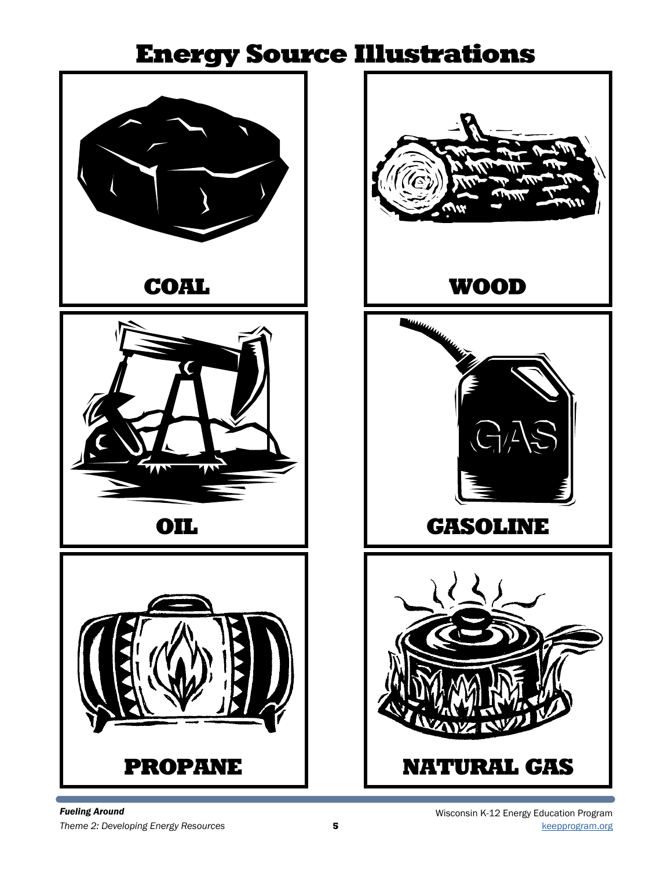## Energy Source Illustrations



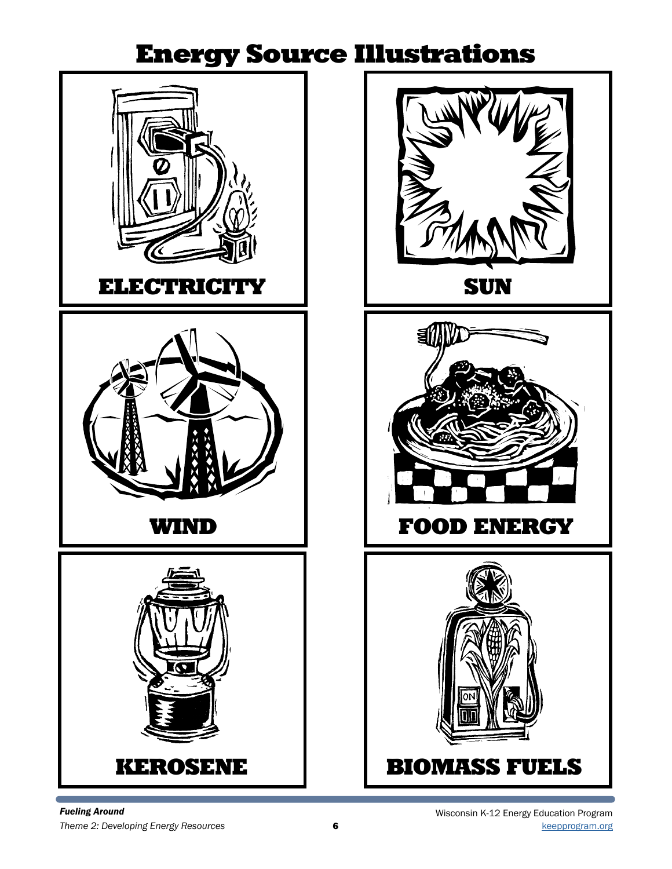## Energy Source Illustrations







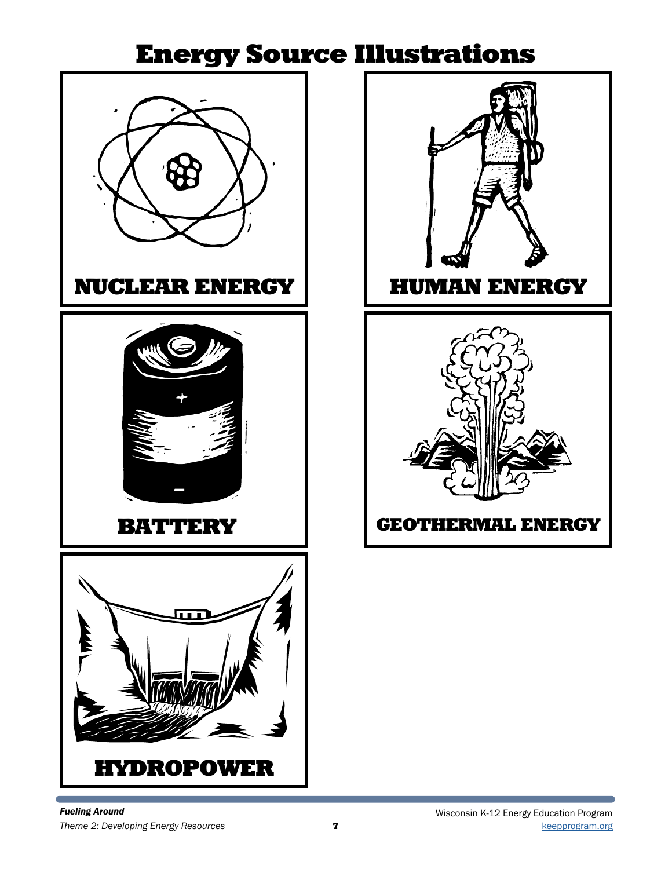## Energy Source Illustrations



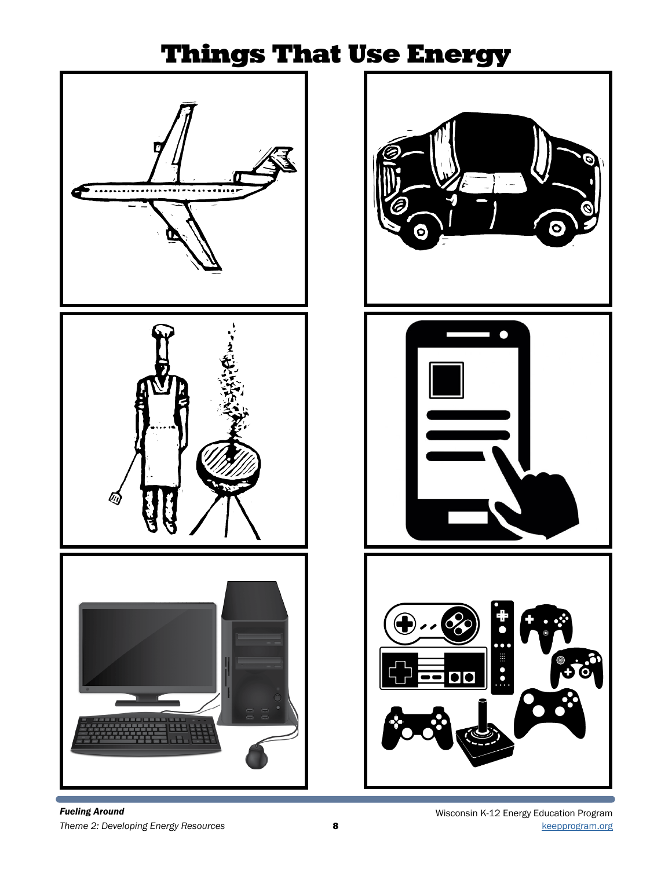## Things That Use Energy









*Fueling Around*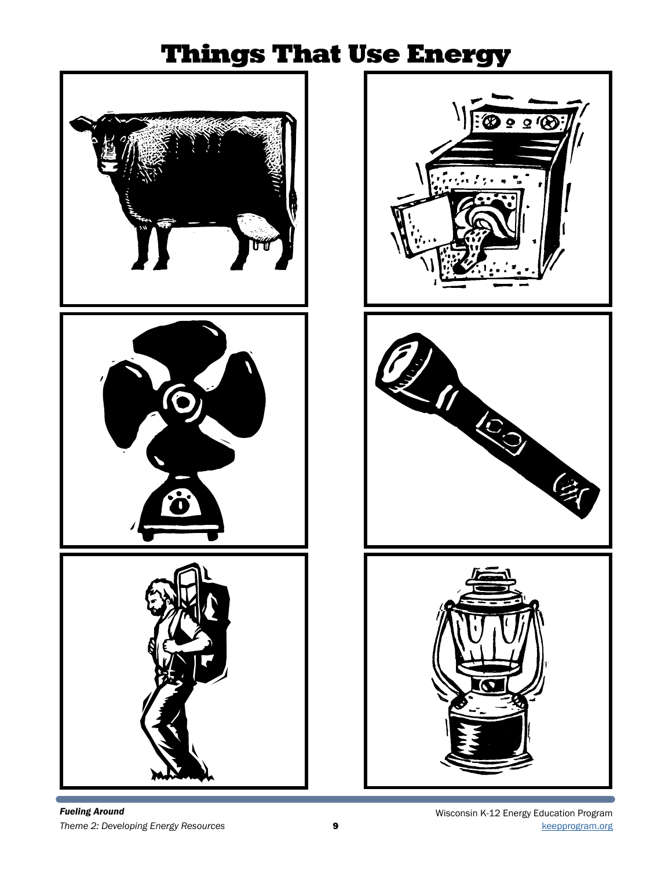## Things That Use Energy







*Fueling Around*